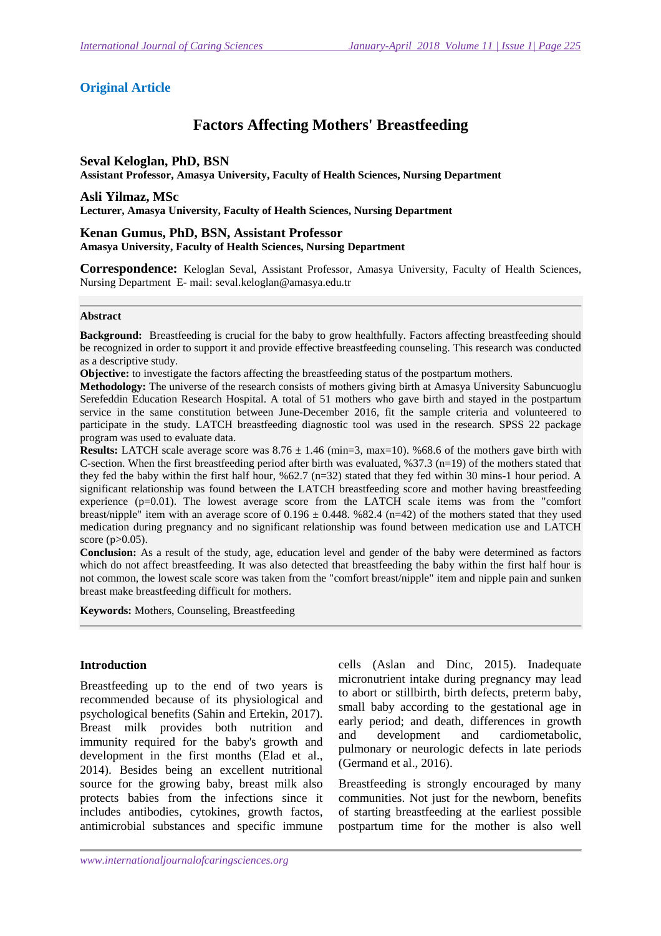# **Original Article**

# **Factors Affecting Mothers' Breastfeeding**

### **Seval Keloglan, PhD, BSN**

**Assistant Professor, Amasya University, Faculty of Health Sciences, Nursing Department** 

**Asli Yilmaz, MSc** 

**Lecturer, Amasya University, Faculty of Health Sciences, Nursing Department** 

#### **Kenan Gumus, PhD, BSN, Assistant Professor Amasya University, Faculty of Health Sciences, Nursing Department**

**Correspondence:** Keloglan Seval, Assistant Professor, Amasya University, Faculty of Health Sciences, Nursing Department E- mail: seval.keloglan@amasya.edu.tr

#### **Abstract**

**Background:** Breastfeeding is crucial for the baby to grow healthfully. Factors affecting breastfeeding should be recognized in order to support it and provide effective breastfeeding counseling. This research was conducted as a descriptive study.

**Objective:** to investigate the factors affecting the breastfeeding status of the postpartum mothers.

**Methodology:** The universe of the research consists of mothers giving birth at Amasya University Sabuncuoglu Serefeddin Education Research Hospital. A total of 51 mothers who gave birth and stayed in the postpartum service in the same constitution between June-December 2016, fit the sample criteria and volunteered to participate in the study. LATCH breastfeeding diagnostic tool was used in the research. SPSS 22 package program was used to evaluate data.

**Results:** LATCH scale average score was  $8.76 \pm 1.46$  (min=3, max=10). %68.6 of the mothers gave birth with C-section. When the first breastfeeding period after birth was evaluated,  $%37.3$  (n=19) of the mothers stated that they fed the baby within the first half hour, %62.7 (n=32) stated that they fed within 30 mins-1 hour period. A significant relationship was found between the LATCH breastfeeding score and mother having breastfeeding experience  $(p=0.01)$ . The lowest average score from the LATCH scale items was from the "comfort" breast/nipple" item with an average score of  $0.196 \pm 0.448$ . %82.4 (n=42) of the mothers stated that they used medication during pregnancy and no significant relationship was found between medication use and LATCH score (p>0.05).

**Conclusion:** As a result of the study, age, education level and gender of the baby were determined as factors which do not affect breastfeeding. It was also detected that breastfeeding the baby within the first half hour is not common, the lowest scale score was taken from the "comfort breast/nipple" item and nipple pain and sunken breast make breastfeeding difficult for mothers.

**Keywords:** Mothers, Counseling, Breastfeeding

### **Introduction**

Breastfeeding up to the end of two years is recommended because of its physiological and psychological benefits (Sahin and Ertekin, 2017). Breast milk provides both nutrition and immunity required for the baby's growth and development in the first months (Elad et al., 2014). Besides being an excellent nutritional source for the growing baby, breast milk also protects babies from the infections since it includes antibodies, cytokines, growth factos, antimicrobial substances and specific immune

cells (Aslan and Dinc, 2015). Inadequate micronutrient intake during pregnancy may lead to abort or stillbirth, birth defects, preterm baby, small baby according to the gestational age in early period; and death, differences in growth and development and cardiometabolic, pulmonary or neurologic defects in late periods (Germand et al., 2016).

Breastfeeding is strongly encouraged by many communities. Not just for the newborn, benefits of starting breastfeeding at the earliest possible postpartum time for the mother is also well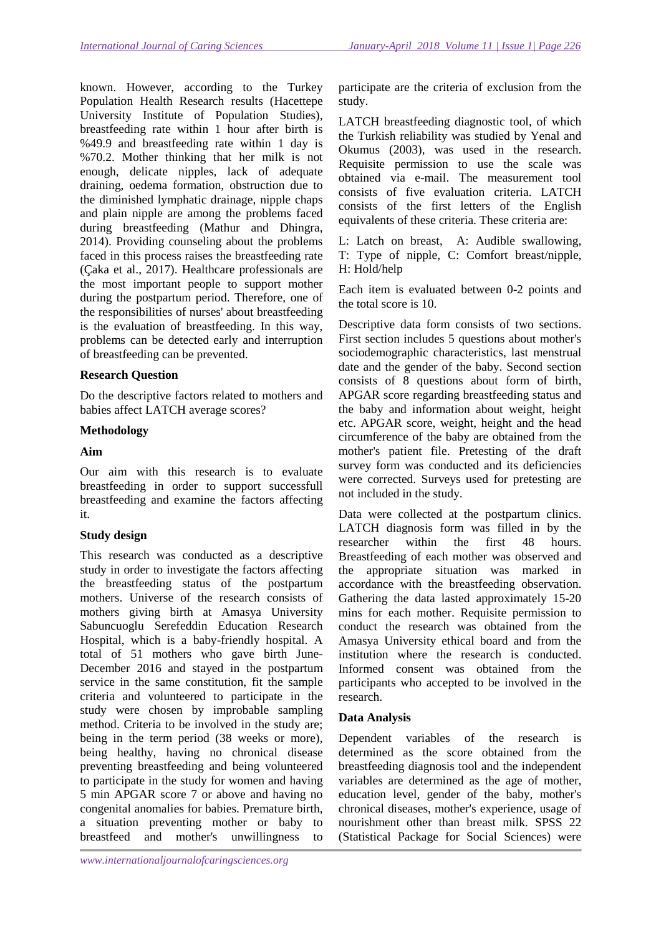known. However, according to the Turkey Population Health Research results (Hacettepe University Institute of Population Studies), breastfeeding rate within 1 hour after birth is %49.9 and breastfeeding rate within 1 day is %70.2. Mother thinking that her milk is not enough, delicate nipples, lack of adequate draining, oedema formation, obstruction due to the diminished lymphatic drainage, nipple chaps and plain nipple are among the problems faced during breastfeeding (Mathur and Dhingra, 2014). Providing counseling about the problems faced in this process raises the breastfeeding rate (Çaka et al., 2017). Healthcare professionals are the most important people to support mother during the postpartum period. Therefore, one of the responsibilities of nurses' about breastfeeding is the evaluation of breastfeeding. In this way, problems can be detected early and interruption of breastfeeding can be prevented.

### **Research Question**

Do the descriptive factors related to mothers and babies affect LATCH average scores?

### **Methodology**

### **Aim**

Our aim with this research is to evaluate breastfeeding in order to support successfull breastfeeding and examine the factors affecting it.

### **Study design**

This research was conducted as a descriptive study in order to investigate the factors affecting the breastfeeding status of the postpartum mothers. Universe of the research consists of mothers giving birth at Amasya University Sabuncuoglu Serefeddin Education Research Hospital, which is a baby-friendly hospital. A total of 51 mothers who gave birth June-December 2016 and stayed in the postpartum service in the same constitution, fit the sample criteria and volunteered to participate in the study were chosen by improbable sampling method. Criteria to be involved in the study are; being in the term period (38 weeks or more), being healthy, having no chronical disease preventing breastfeeding and being volunteered to participate in the study for women and having 5 min APGAR score 7 or above and having no congenital anomalies for babies. Premature birth, a situation preventing mother or baby to breastfeed and mother's unwillingness to

participate are the criteria of exclusion from the study.

LATCH breastfeeding diagnostic tool, of which the Turkish reliability was studied by Yenal and Okumus (2003), was used in the research. Requisite permission to use the scale was obtained via e-mail. The measurement tool consists of five evaluation criteria. LATCH consists of the first letters of the English equivalents of these criteria. These criteria are:

L: Latch on breast, A: Audible swallowing, T: Type of nipple, C: Comfort breast/nipple, H: Hold/help

Each item is evaluated between 0-2 points and the total score is 10.

Descriptive data form consists of two sections. First section includes 5 questions about mother's sociodemographic characteristics, last menstrual date and the gender of the baby. Second section consists of 8 questions about form of birth, APGAR score regarding breastfeeding status and the baby and information about weight, height etc. APGAR score, weight, height and the head circumference of the baby are obtained from the mother's patient file. Pretesting of the draft survey form was conducted and its deficiencies were corrected. Surveys used for pretesting are not included in the study.

Data were collected at the postpartum clinics. LATCH diagnosis form was filled in by the researcher within the first 48 hours. Breastfeeding of each mother was observed and the appropriate situation was marked in accordance with the breastfeeding observation. Gathering the data lasted approximately 15-20 mins for each mother. Requisite permission to conduct the research was obtained from the Amasya University ethical board and from the institution where the research is conducted. Informed consent was obtained from the participants who accepted to be involved in the research.

### **Data Analysis**

Dependent variables of the research is determined as the score obtained from the breastfeeding diagnosis tool and the independent variables are determined as the age of mother, education level, gender of the baby, mother's chronical diseases, mother's experience, usage of nourishment other than breast milk. SPSS 22 (Statistical Package for Social Sciences) were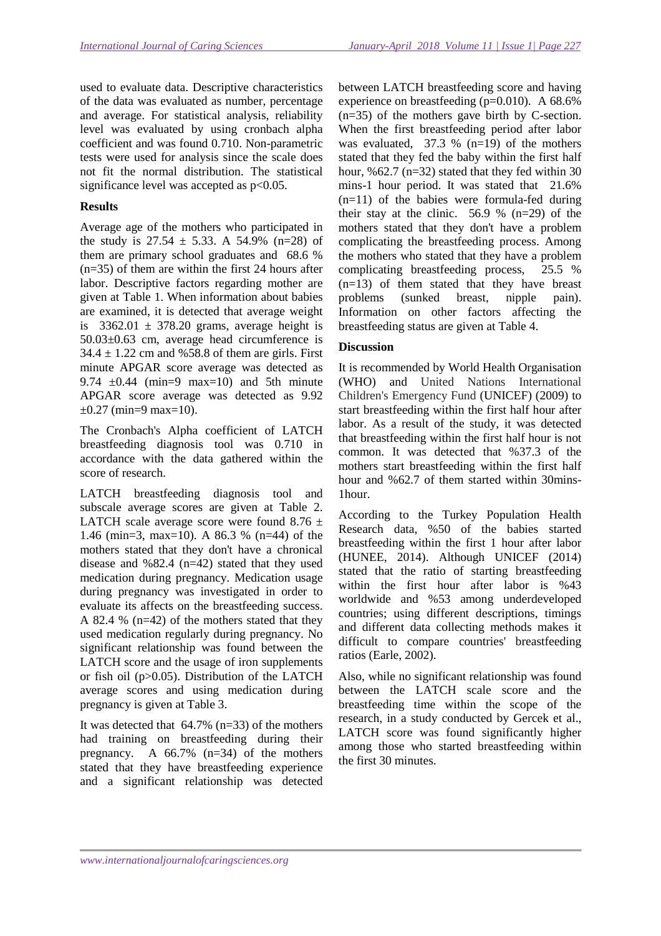used to evaluate data. Descriptive characteristics of the data was evaluated as number, percentage and average. For statistical analysis, reliability level was evaluated by using cronbach alpha coefficient and was found 0.710. Non-parametric tests were used for analysis since the scale does not fit the normal distribution. The statistical significance level was accepted as  $p<0.05$ .

### **Results**

Average age of the mothers who participated in the study is  $27.54 \pm 5.33$ . A 54.9% (n=28) of them are primary school graduates and 68.6 % (n=35) of them are within the first 24 hours after labor. Descriptive factors regarding mother are given at Table 1. When information about babies are examined, it is detected that average weight is  $3362.01 \pm 378.20$  grams, average height is 50.03±0.63 cm, average head circumference is  $34.4 \pm 1.22$  cm and %58.8 of them are girls. First minute APGAR score average was detected as 9.74  $\pm 0.44$  (min=9 max=10) and 5th minute APGAR score average was detected as 9.92  $\pm 0.27$  (min=9 max=10).

The Cronbach's Alpha coefficient of LATCH breastfeeding diagnosis tool was 0.710 in accordance with the data gathered within the score of research.

LATCH breastfeeding diagnosis tool and subscale average scores are given at Table 2. LATCH scale average score were found  $8.76 \pm$ 1.46 (min=3, max=10). A 86.3 % (n=44) of the mothers stated that they don't have a chronical disease and %82.4 (n=42) stated that they used medication during pregnancy. Medication usage during pregnancy was investigated in order to evaluate its affects on the breastfeeding success. A 82.4 % (n=42) of the mothers stated that they used medication regularly during pregnancy. No significant relationship was found between the LATCH score and the usage of iron supplements or fish oil (p>0.05). Distribution of the LATCH average scores and using medication during pregnancy is given at Table 3.

It was detected that  $64.7\%$  (n=33) of the mothers had training on breastfeeding during their pregnancy. A 66.7% (n=34) of the mothers stated that they have breastfeeding experience and a significant relationship was detected

between LATCH breastfeeding score and having experience on breastfeeding (p=0.010). A 68.6% (n=35) of the mothers gave birth by C-section. When the first breastfeeding period after labor was evaluated,  $37.3 \%$  (n=19) of the mothers stated that they fed the baby within the first half hour,  $\frac{62.7}{n=32}$  stated that they fed within 30 mins-1 hour period. It was stated that 21.6%  $(n=11)$  of the babies were formula-fed during their stay at the clinic.  $56.9 \%$  (n=29) of the mothers stated that they don't have a problem complicating the breastfeeding process. Among the mothers who stated that they have a problem complicating breastfeeding process, 25.5 % (n=13) of them stated that they have breast problems (sunked breast, nipple pain). Information on other factors affecting the breastfeeding status are given at Table 4.

#### **Discussion**

It is recommended by World Health Organisation (WHO) and United Nations International Children's Emergency Fund (UNICEF) (2009) to start breastfeeding within the first half hour after labor. As a result of the study, it was detected that breastfeeding within the first half hour is not common. It was detected that %37.3 of the mothers start breastfeeding within the first half hour and %62.7 of them started within 30mins-1hour.

According to the Turkey Population Health Research data, %50 of the babies started breastfeeding within the first 1 hour after labor (HUNEE, 2014). Although UNICEF (2014) stated that the ratio of starting breastfeeding within the first hour after labor is %43 worldwide and %53 among underdeveloped countries; using different descriptions, timings and different data collecting methods makes it difficult to compare countries' breastfeeding ratios (Earle, 2002).

Also, while no significant relationship was found between the LATCH scale score and the breastfeeding time within the scope of the research, in a study conducted by Gercek et al., LATCH score was found significantly higher among those who started breastfeeding within the first 30 minutes.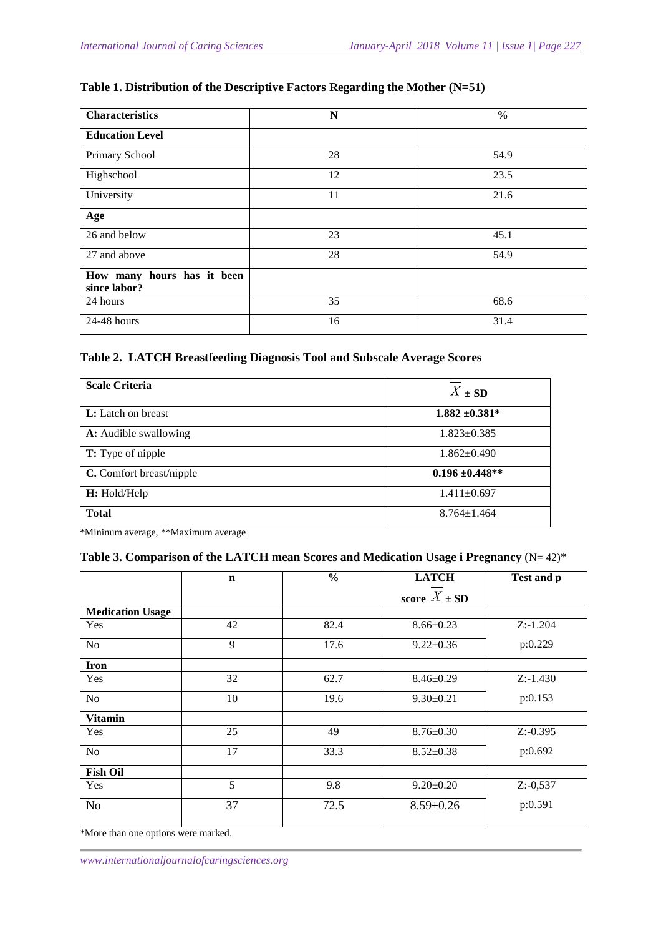## **Table 1. Distribution of the Descriptive Factors Regarding the Mother (N=51)**

| <b>Characteristics</b>                     | N  | $\frac{6}{6}$ |
|--------------------------------------------|----|---------------|
| <b>Education Level</b>                     |    |               |
| Primary School                             | 28 | 54.9          |
| Highschool                                 | 12 | 23.5          |
| University                                 | 11 | 21.6          |
| Age                                        |    |               |
| 26 and below                               | 23 | 45.1          |
| 27 and above                               | 28 | 54.9          |
| How many hours has it been<br>since labor? |    |               |
| 24 hours                                   | 35 | 68.6          |
| 24-48 hours                                | 16 | 31.4          |

#### **Table 2. LATCH Breastfeeding Diagnosis Tool and Subscale Average Scores**

| <b>Scale Criteria</b>        | $X \pm SD$          |
|------------------------------|---------------------|
| <b>L:</b> Latch on breast    | $1.882 \pm 0.381^*$ |
| <b>A:</b> Audible swallowing | $1.823 \pm 0.385$   |
| <b>T:</b> Type of nipple     | $1.862 \pm 0.490$   |
| C. Comfort breast/nipple     | $0.196 \pm 0.448**$ |
| H: Hold/Help                 | $1.411 \pm 0.697$   |
| <b>Total</b>                 | $8.764 \pm 1.464$   |

\*Mininum average, \*\*Maximum average

## **Table 3. Comparison of the LATCH mean Scores and Medication Usage i Pregnancy** (N= 42)\*

|                         | $\mathbf n$         | $\frac{0}{0}$ | <b>LATCH</b>     | Test and p   |
|-------------------------|---------------------|---------------|------------------|--------------|
|                         |                     |               | score $X \pm SD$ |              |
| <b>Medication Usage</b> |                     |               |                  |              |
| Yes                     | 42                  | 82.4          | $8.66 \pm 0.23$  | $Z: -1.204$  |
| N <sub>o</sub>          | 9                   | 17.6          | $9.22 \pm 0.36$  | p:0.229      |
| <b>Iron</b>             |                     |               |                  |              |
| Yes                     | 32                  | 62.7          | $8.46 \pm 0.29$  | $Z: -1.430$  |
| No                      | 10                  | 19.6          | $9.30 \pm 0.21$  | p:0.153      |
| <b>Vitamin</b>          |                     |               |                  |              |
| Yes                     | 25                  | 49            | $8.76 \pm 0.30$  | $Z: -0.395$  |
| N <sub>o</sub>          | 17                  | 33.3          | $8.52 \pm 0.38$  | p:0.692      |
| <b>Fish Oil</b>         |                     |               |                  |              |
| Yes                     | 5                   | 9.8           | $9.20 \pm 0.20$  | $Z: -0, 537$ |
| No                      | 37<br>$\sim$ $\sim$ | 72.5          | $8.59 \pm 0.26$  | p:0.591      |

\*More than one options were marked.

*www.internationaljournalofcaringsciences.org*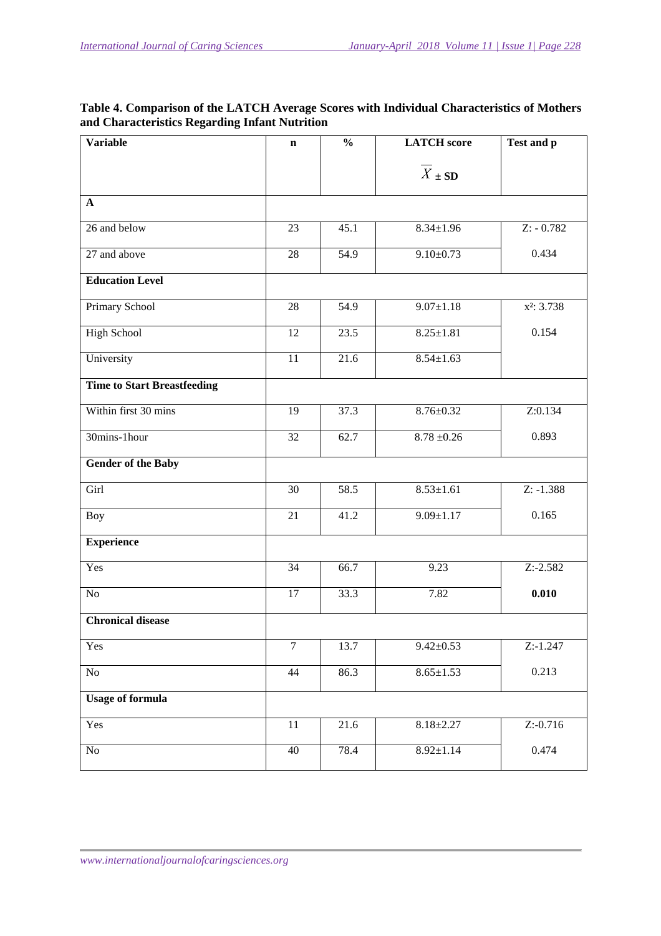| <b>Variable</b>                    | $\mathbf n$     | $\frac{0}{0}$ | <b>LATCH</b> score | Test and p             |
|------------------------------------|-----------------|---------------|--------------------|------------------------|
|                                    |                 |               | $X \pm SD$         |                        |
| $\mathbf{A}$                       |                 |               |                    |                        |
| 26 and below                       | 23              | 45.1          | $8.34 \pm 1.96$    | $Z: -0.782$            |
| 27 and above                       | 28              | 54.9          | $9.10 \pm 0.73$    | 0.434                  |
| <b>Education Level</b>             |                 |               |                    |                        |
| Primary School                     | 28              | 54.9          | $9.07 \pm 1.18$    | x <sup>2</sup> : 3.738 |
| <b>High School</b>                 | 12              | 23.5          | $8.25 \pm 1.81$    | 0.154                  |
| University                         | 11              | 21.6          | $8.54 \pm 1.63$    |                        |
| <b>Time to Start Breastfeeding</b> |                 |               |                    |                        |
| Within first 30 mins               | 19              | 37.3          | $8.76 \pm 0.32$    | Z:0.134                |
| 30mins-1hour                       | 32              | 62.7          | $8.78 \pm 0.26$    | 0.893                  |
| <b>Gender of the Baby</b>          |                 |               |                    |                        |
| Girl                               | 30              | 58.5          | $8.53 \pm 1.61$    | $Z: -1.388$            |
| <b>Boy</b>                         | 21              | 41.2          | $9.09 \pm 1.17$    | 0.165                  |
| <b>Experience</b>                  |                 |               |                    |                        |
| Yes                                | $\overline{34}$ | 66.7          | 9.23               | $Z: -2.582$            |
| No                                 | 17              | 33.3          | 7.82               | 0.010                  |
| <b>Chronical disease</b>           |                 |               |                    |                        |
| Yes                                | $\overline{7}$  | 13.7          | $9.42 \pm 0.53$    | $Z: -1.247$            |
| No                                 | 44              | 86.3          | $8.65 \pm 1.53$    | 0.213                  |
| <b>Usage of formula</b>            |                 |               |                    |                        |
| Yes                                | $\overline{11}$ | 21.6          | $8.18 \pm 2.27$    | $Z: -0.716$            |
| No                                 | 40              | 78.4          | $8.92 \pm 1.14$    | 0.474                  |

# **Table 4. Comparison of the LATCH Average Scores with Individual Characteristics of Mothers and Characteristics Regarding Infant Nutrition**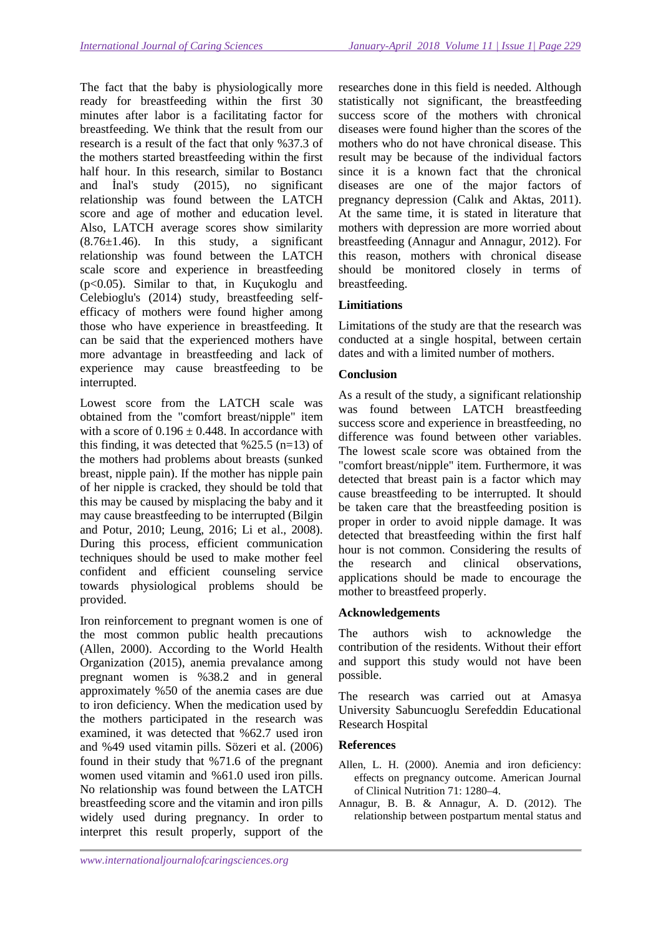The fact that the baby is physiologically more ready for breastfeeding within the first 30 minutes after labor is a facilitating factor for breastfeeding. We think that the result from our research is a result of the fact that only %37.3 of the mothers started breastfeeding within the first half hour. In this research, similar to Bostancı and İnal's study (2015), no significant relationship was found between the LATCH score and age of mother and education level. Also, LATCH average scores show similarity  $(8.76\pm1.46)$ . In this study, a significant relationship was found between the LATCH scale score and experience in breastfeeding (p<0.05). Similar to that, in Kuçukoglu and Celebioglu's (2014) study, breastfeeding selfefficacy of mothers were found higher among those who have experience in breastfeeding. It can be said that the experienced mothers have more advantage in breastfeeding and lack of experience may cause breastfeeding to be interrupted.

Lowest score from the LATCH scale was obtained from the "comfort breast/nipple" item with a score of  $0.196 \pm 0.448$ . In accordance with this finding, it was detected that  $\frac{625.5}{m}$  (n=13) of the mothers had problems about breasts (sunked breast, nipple pain). If the mother has nipple pain of her nipple is cracked, they should be told that this may be caused by misplacing the baby and it may cause breastfeeding to be interrupted (Bilgin and Potur, 2010; Leung, 2016; Li et al., 2008). During this process, efficient communication techniques should be used to make mother feel confident and efficient counseling service towards physiological problems should be provided.

Iron reinforcement to pregnant women is one of the most common public health precautions (Allen, 2000). According to the World Health Organization (2015), anemia prevalance among pregnant women is %38.2 and in general approximately %50 of the anemia cases are due to iron deficiency. When the medication used by the mothers participated in the research was examined, it was detected that %62.7 used iron and %49 used vitamin pills. Sözeri et al. (2006) found in their study that %71.6 of the pregnant women used vitamin and %61.0 used iron pills. No relationship was found between the LATCH breastfeeding score and the vitamin and iron pills widely used during pregnancy. In order to interpret this result properly, support of the

researches done in this field is needed. Although statistically not significant, the breastfeeding success score of the mothers with chronical diseases were found higher than the scores of the mothers who do not have chronical disease. This result may be because of the individual factors since it is a known fact that the chronical diseases are one of the major factors of pregnancy depression (Calık and Aktas, 2011). At the same time, it is stated in literature that mothers with depression are more worried about breastfeeding (Annagur and Annagur, 2012). For this reason, mothers with chronical disease should be monitored closely in terms of breastfeeding.

# **Limitiations**

Limitations of the study are that the research was conducted at a single hospital, between certain dates and with a limited number of mothers.

### **Conclusion**

As a result of the study, a significant relationship was found between LATCH breastfeeding success score and experience in breastfeeding, no difference was found between other variables. The lowest scale score was obtained from the "comfort breast/nipple" item. Furthermore, it was detected that breast pain is a factor which may cause breastfeeding to be interrupted. It should be taken care that the breastfeeding position is proper in order to avoid nipple damage. It was detected that breastfeeding within the first half hour is not common. Considering the results of the research and clinical observations, applications should be made to encourage the mother to breastfeed properly.

### **Acknowledgements**

The authors wish to acknowledge the contribution of the residents. Without their effort and support this study would not have been possible.

The research was carried out at Amasya University Sabuncuoglu Serefeddin Educational Research Hospital

### **References**

- Allen, L. H. (2000). Anemia and iron deficiency: effects on pregnancy outcome. American Journal of Clinical Nutrition 71: 1280–4.
- Annagur, B. B. & Annagur, A. D. (2012). The relationship between postpartum mental status and